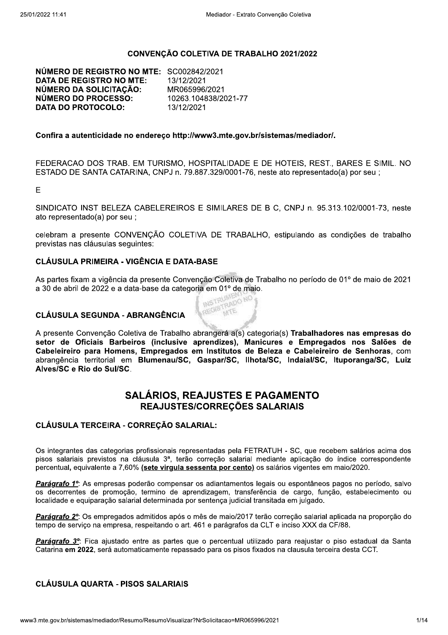### CONVENÇÃO COLETIVA DE TRABALHO 2021/2022

NÚMERO DE REGISTRO NO MTE: SC002842/2021 **DATA DE REGISTRO NO MTE:** 13/12/2021 NÚMERO DA SOLICITAÇÃO: MR065996/2021 NÚMERO DO PROCESSO: 10263.104838/2021-77 **DATA DO PROTOCOLO:** 13/12/2021

#### Confira a autenticidade no endereco http://www3.mte.gov.br/sistemas/mediador/.

FEDERACAO DOS TRAB. EM TURISMO, HOSPITALIDADE E DE HOTEIS, REST., BARES E SIMIL, NO ESTADO DE SANTA CATARINA, CNPJ n. 79.887.329/0001-76, neste ato representado(a) por seu ;

E.

SINDICATO INST BELEZA CABELEREIROS E SIMILARES DE B C, CNPJ n. 95.313.102/0001-73, neste ato representado(a) por seu;

celebram a presente CONVENÇÃO COLETIVA DE TRABALHO, estipulando as condições de trabalho previstas nas cláusulas seguintes:

### **CLÁUSULA PRIMEIRA - VIGÊNCIA E DATA-BASE**

As partes fixam a vigência da presente Convenção Coletiva de Trabalho no período de 01º de maio de 2021 a 30 de abril de 2022 e a data-base da categoria em 01º de maio. REGISTRADO NO

### **CLÁUSULA SEGUNDA - ABRANGÊNCIA**

A presente Convenção Coletiva de Trabalho abrangerá a(s) categoria(s) Trabalhadores nas empresas do setor de Oficiais Barbeiros (inclusive aprendizes), Manicures e Empregados nos Salões de Cabeleireiro para Homens, Empregados em Institutos de Beleza e Cabeleireiro de Senhoras, com abrangência territorial em Blumenau/SC. Gaspar/SC. Ilhota/SC. Indaial/SC. Ituporanga/SC. Luiz Alves/SC e Rio do Sul/SC

## **SALÁRIOS, REAJUSTES E PAGAMENTO** REAJUSTES/CORRECÕES SALARIAIS

#### **CLÁUSULA TERCEIRA - CORREÇÃO SALARIAL:**

Os integrantes das categorias profissionais representadas pela FETRATUH - SC, que recebem salários acima dos pisos salariais previstos na cláusula 3ª, terão correção salarial mediante aplicação do índice correspondente percentual, equivalente a 7,60% (sete virgula sessenta por cento) os salários vigentes em maio/2020.

Parágrafo 1<sup>o</sup>: As empresas poderão compensar os adiantamentos legais ou espontâneos pagos no período, salvo os decorrentes de promoção, termino de aprendizagem, transferência de cargo, função, estabelecimento ou localidade e equiparação salarial determinada por sentenca judicial transitada em julgado.

Parágrafo 2<sup>o</sup>: Os empregados admitidos após o mês de majo/2017 terão correção salarial aplicada na proporção do tempo de servico na empresa, respeitando o art. 461 e parágrafos da CLT e inciso XXX da CF/88.

Parágrafo 3<sup>o</sup>: Fica ajustado entre as partes que o percentual utilizado para reajustar o piso estadual da Santa Catarina em 2022, será automaticamente repassado para os pisos fixados na clausula terceira desta CCT.

#### **CLÁUSULA QUARTA - PISOS SALARIAIS**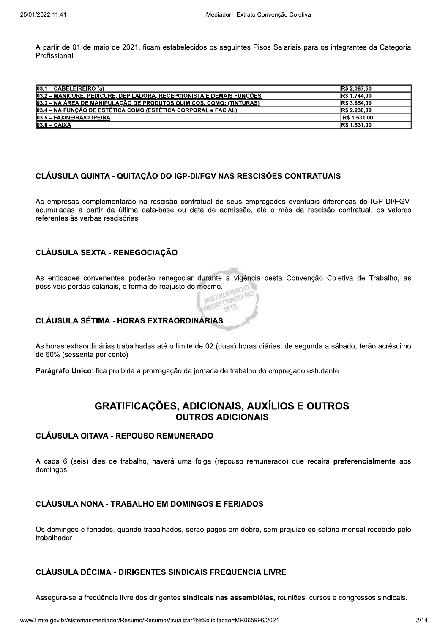A partir de 01 de maio de 2021, ficam estabelecidos os seguintes Pisos Salariais para os integrantes da Categoria Profissional:

| $ 03.1 - CABELEIREIRO (a)$                                            | <b>R\$ 2.087.50</b> |
|-----------------------------------------------------------------------|---------------------|
| 03.2 – MANICURE, PEDICURE, DEPILADORA, RECEPCIONISTA E DEMAIS FUNÇÕES | <b>R\$ 1.744,00</b> |
| 03.3 – NA ÁREA DE MANIPULAÇÃO DE PRODUTOS QUIMICOS, COMO: (TINTURAS)  | <b>R\$ 3.654,00</b> |
| 03.4 – NA FUNÇÃO DE ESTÉTICA COMO (ESTÉTICA CORPORAL e FACIAL)        | <b>R\$ 2.230.00</b> |
| 03.5 - FAXINEIRA/COPEIRA                                              | R\$ 1.531,00        |
| $03.6 - CAIXA$                                                        | <b>R\$ 1.531,00</b> |

#### CLÁUSULA QUINTA - QUITAÇÃO DO IGP-DI/FGV NAS RESCISÕES CONTRATUAIS

As empresas complementarão na rescisão contratual de seus empregados eventuais diferenças do IGP-DI/FGV, acumuladas a partir da última data-base ou data de admissão, até o mês da rescisão contratual, os valores referentes às verbas rescisórias.

### **CLÁUSULA SEXTA - RENEGOCIAÇÃO**

As entidades convenentes poderão renegociar durante a vigência desta Convenção Coletiva de Trabalho, as possíveis perdas salariais, e forma de reajuste do mesmo.

## CLÁUSULA SÉTIMA - HORAS EXTRAORDINÁRIAS

As horas extraordinárias trabalhadas até o limite de 02 (duas) horas diárias, de segunda a sábado, terão acréscimo de 60% (sessenta por cento)

Parágrafo Único: fica proibida a prorrogação da jornada de trabalho do empregado estudante.

## **GRATIFICAÇÕES, ADICIONAIS, AUXÍLIOS E OUTROS OUTROS ADICIONAIS**

### CLÁUSULA OITAVA - REPOUSO REMUNERADO

A cada 6 (seis) dias de trabalho, haverá uma folga (repouso remunerado) que recairá preferencialmente aos domingos.

#### **CLÁUSULA NONA - TRABALHO EM DOMINGOS E FERIADOS**

Os domingos e feriados, quando trabalhados, serão pagos em dobro, sem prejuízo do salário mensal recebido pelo trabalhador.

#### **CLÁUSULA DÉCIMA - DIRIGENTES SINDICAIS FREQUENCIA LIVRE**

Assegura-se a freqüência livre dos dirigentes sindicais nas assembléias, reuniões, cursos e congressos sindicais.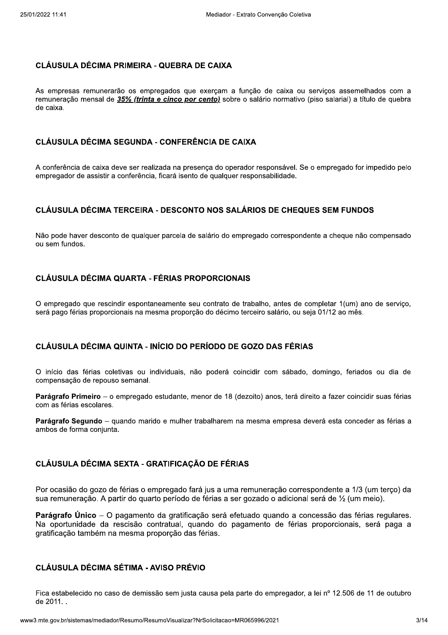#### $\overline{a}$ CLAUSULA DECIMA PRIMEIRA - QUEBRA DE CAIXA

As empresas remunerarao os empregados que exerçam a funçao de E CAIXA<br>
xerçam a função de caixa ou serviços assemelhado<br>
<u>ento)</u> sobre o salário normativo (piso salarial) a título d<br>
CIA DE CAIXA CLÁUSULA DÉCIMA PRIMEIRA - QUEBRA DE CAIXA<br>As empresas remunerarão os empregados que exerçam a função de caixa ou serviços assemelhados com a<br>remuneração mensal de *35% (trinta e cinco por cento)* sobre o salário normativo e <u>35% (trinta e cinco por cento)</u> sobre o salario normativo (piso salarial) a título de quebra de caixa. CLÁUSULA DÉCIMA P<br>As empresas remunerará<br>remuneração mensal de s<br>de caixa.<br>CLÁUSULA DÉCIMA S<br>A conferência de caixa de<br>empregador de assistir a

#### $\mathbf{r}$ CLAUSULA DECIMA SEGUNDA - CONFERENCIA DE CAIXA

remuneração mensal de <u>35% (tri</u><br>de caixa.<br>**CLÁUSULA DÉCIMA SEGUNI**<br>A conferência de caixa deve ser r<br>empregador de assistir a conferêr<br>**CLÁUSULA DÉCIMA TERCEI**I<br>Não pode haver desconto de qua remuneração mensal de <u>35% (trinta e de caixa.</u><br>de caixa.<br>**CLÁUSULA DÉCIMA SEGUNDA - C**<br>A conferência de caixa deve ser realizad<br>empregador de assistir a conferência, fic<br>**CLÁUSULA DÉCIMA TERCEIRA - D**<br>Não pode haver desco eve ser realizada na presença do operador responsavel. Se o empregado for impedido pelo empregador de assistir a conferencia, ficara isento de quaiquer responsabilidade.

#### $\frac{1}{2}$ CLAUSULA DECIMA TERCEIRA - DESCONTO NOS SALARIOS DE CHEQUES SEM FUNDOS

caixa.<br> **ÁUSULA DÉCIMA SEGUNDA - CONFERÊNCIA DE C**<br>
conferência de caixa deve ser realizada na presença do operegador de assistir a conferência, ficará isento de qualque<br> **ÁUSULA DÉCIMA TERCEIRA - DESCONTO NOS SA**<br>
o pode Nao pode naver desconto de qualquer parcela de salario do empregado correspondente a cheque nao compensado A conterência de caixa deve ser realizada empregador de assistir a conferência, ficara<br> **CLÁUSULA DÉCIMA TERCEIRA - DES<br>
Não pode haver desconto de qualquer para<br>
cu sem fundos.<br>
CLÁUSULA DÉCIMA QUARTA - FÉRIA<br>
O empregado** ixa deve ser realizada na presença do operadoristir a conferência, ficará isento de qualquer re<br>**MA TERCEIRA - DESCONTO NOS SALÁ<br>sconto de qualquer parcela de salário do emp<br>MA QUARTA - FÉRIAS PROPORCIONAI<br>rescindir espont** ença do operador responsável. Se o empregade qualquer responsabilidade.<br> **O NOS SALÁRIOS DE CHEQUES SEM I**<br>
salário do empregado correspondente a cheo<br> **O PORCIONAIS** responsável. Se o empregado for impedido pelo<br>onsabilidade.<br>**OS DE CHEQUES SEM FUNDOS**<br>ado correspondente a cheque não compensado<br>ilho, antes de completar 1(um) ano de serviço, ou sem fundos.

#### $\frac{1}{2}$ CLAUSULA DECIMA QUARTA - FERIAS PROPORCIONAIS

O empregado que rescindir espontaneamente seu contrato de trabalho, antes de Não pode haver desconto de qualquer parce<br>ou sem fundos.<br>**CLÁUSULA DÉCIMA QUARTA - FÉRIAS**<br>O empregado que rescindir espontaneamen<br>será pago férias proporcionais na mesma pro<br>**CLÁUSULA DÉCIMA QUINTA - INÍCIO D**<br>O início da de qualquer parcela de salário do empregado compregado do equalquer parcela de salário do empregado compregado com<br>
UARTA - FÉRIAS PROPORCIONAIS<br>
ir espontaneamente seu contrato de trabalho, a<br>
nais na mesma proporção do d empregado correspondente a cheque não com<br> **NAIS**<br>
de trabalho, antes de completar 1(um) ano de<br>
no terceiro salário, ou seja 01/12 ao mês.<br> **DE GOZO DAS FÉRIAS**<br>
coincidir com sábado, domingo, feriados ou ou sem fundos.<br>CLÁUSULA DÉCIMA QUARTA - FÉRIAS PROPORCIONAIS<br>O empregado que rescindir espontaneamente seu contrato de trabalho, antes de completar 1(um) ano de serviço,<br>será pago férias proporcionais na mesma proporção do o decimo terceiro salario, ou seja 01/12 ao mes. FÉRIAS PROPORCIONAIS<br>aneamente seu contrato de trabalho, antes de completa<br>esma proporção do décimo terceiro salário, ou seja 01/1:<br>INÍCIO DO PERÍODO DE GOZO DAS FÉRIAS<br>ndividuais, não poderá coincidir com sábado, doming

#### $\overline{a}$ ,-LAUSULA DECIMA QUINTA - INICIO DO PERIODO DE GOZO DAS FERIAS

ividuais, nao podera coincidir com sabado, domingo, feriados ou dia de compensação de repouso semanal.

**Paragrafo Primeiro** – o empregado estudante, menor de 18 (dezoito) anos, tera dil

O empregado que rescindir<br>será pago férias proporciona<br>**CLÁUSULA DÉCIMA QU**<br>O início das férias coletiv<br>compensação de repouso se<br>**Parágrafo Primeiro** – o em<br>com as férias escolares.<br>**Parágrafo Segundo** – quar<br>ambos de for O empregado que rescindir espontaneamer<br>será pago férias proporcionais na mesma pr<br>**CLÁUSULA DÉCIMA QUINTA - INÍCIO I**<br>O início das férias coletivas ou individua<br>compensação de repouso semanal.<br>**Parágrafo Primeiro** – o emp amente seu contrato de trabalho, antes de com<br>ma proporção do décimo terceiro salário, ou seja (<br>CIO DO PERÍODO DE GOZO DAS FÉRIAS<br>viduais, não poderá coincidir com sábado, do<br>studante, menor de 18 (dezoito) anos, terá dir eu contrato de trabalho, antes de completar<br>ção do décimo terceiro salário, ou seja 01/12<br>PERÍODO DE GOZO DAS FÉRIAS<br>não poderá coincidir com sábado, doming<br>menor de 18 (dezoito) anos, terá direito a faz<br>trabalharem na mes serà pago terias proporcionais na mesma proporção do decimo terceiro salârio, ou seja 01/12 ao mês.<br> **CLÁUSULA DÉCIMA QUINTA - INÍCIO DO PERÍODO DE GOZO DAS FÉRIAS**<br>
O início das férias coletivas ou individuais, não poderá **AS FÉRIAS**<br>
In sábado, domingo, feriados ou dia de<br>
2005, terá direito a fazer coincidir suas férias<br>
empresa deverá esta conceder as férias a CLÁUSULA DÉCIMA QUINTA - INÍCIO DO PERÍODO DE GOZO DAS FÉRIAS<br>O início das férias coletivas ou individuais, não poderá coincidir com sábado, domingo, feriados ou dia de<br>compensação de repouso semanal.<br>Parágrafo Primeiro – o marido e muiner trabainarem na mesma empresa devera esta conceder as ferias a m sábado, domingo, feriados ou dia de<br>
1008, terá direito a fazer coincidir suas férias<br>
empresa deverá esta conceder as férias a<br>
102, as férias a<br>
103, correspondente a 1/3 (um terço) da ambos de forma conjunta.

#### $\overline{a}$ CLAUSULA DECIMA SEXTA - GRATIFICAÇÃO DE FERIAS

O início das férias coletivas ou indiv<br>compensação de repouso semanal.<br>**Parágrafo Primeiro** – o empregado es<br>com as férias escolares.<br>**Parágrafo Segundo** – quando marido<br>ambos de forma conjunta.<br>**CLÁUSULA DÉCIMA SEXTA - GR** o gozo de ferias o empregado fara jus a uma remuneração correspondente a 1/3 (um terço) da sua remuneração. A partir do quarto período de ferias a ser gozado o adicional sera de ½ (um melo).

Parágrafo Segundo – quand<br>
ambos de forma conjunta.<br>
CLÁUSULA DÉCIMA SEXT<br>
Por ocasião do gozo de féria<br>
sua remuneração. A partir d<br>
Parágrafo Único – O paga<br>
Na oportunidade da rescis<br>
gratificação também na mes<br>
CLÁUSUL her trabalharem na mesma empresa deverá esta concectrica de trata de la concectrica de AGÃO DE FÉRIAS<br>
o fará jus a uma remuneração correspondente a 1/3 (<br>
do de férias a ser gozado o adicional será de ½ (um n<br>
ificação se marem na meema empresa asvera esta senses<br>
DE FÉRIAS<br>
Is a uma remuneração correspondente a 1/3<br>
rias a ser gozado o adicional será de 1/2 (um r<br>
será efetuado quando a concessão das féri<br>
o do pagamento de férias proporci Paragraro Unico – O pagamento da gratificação sera efetuado quando a concessão das ferias regulares. **SEXTA - GRATIFICAÇÃO DE FÉRIAS**<br>de férias o empregado fará jus a uma remune<br>partir do quarto período de férias a ser gozado<br>) pagamento da gratificação será efetuado c<br>rescisão contratual, quando do pagament<br>na mesma prop FÉRIAS<br>
uma remuneração correspondente a 1/3 (um ter<br>
a ser gozado o adicional será de ½ (um meio).<br>
rá efetuado quando a concessão das férias regio<br>
pagamento de férias proporcionais, será p<br>
pela parte do empregador, a l lva oportunidade da rescisão contratual, quando do pagamento de ÁUSULA DÉCIMA SEXTA - GRATIFICAÇÃO DE F<br>
r ocasião do gozo de férias o empregado fará jus a i<br>
a remuneração. A partir do quarto período de férias a<br>
rágrafo Único – O pagamento da gratificação sera<br>
oportunidade da rescis CLÁUSULA DÉCIMA SEXTA - GRATIFICAÇÃO DE FÉRIAS<br>
Por ocasião do gozo de férias o empregado fará jus a uma remuneração correspondente a 1/3 (um terço) da<br>
sua remuneração. A partir do quarto período de férias a ser gozado o gratificação também na mesma proporção das férias.

#### $\overline{a}$ CLAUSULA DECIMA SETIMA - AVISO PREVIO

**- AVISO PRÉVIO**<br>nissão sem justa causa pela parte do empr<br>ResumoVisualizar?NrSolicitacao=MR065996/2021 Na oportunidade da rescisao c<br>gratificação também na mesma p<br>**CLÁUSULA DÉCIMA SÉTIMA - .**<br>Fica estabelecido no caso de demis<br>de 2011. .<br>www3.mte.gov.br/sistemas/mediador/Resumo/Re Na oportunidade da rescisao contratua<br>gratificação também na mesma proporçã<br>**CLÁUSULA DÉCIMA SÉTIMA - AVISO**<br>Fica estabelecido no caso de demissão sen<br>de 2011. .<br>3.mte.gov.br/sistemas/mediador/Resumo/ResumoVisu e demissão sem justa causa pela parte do empregador, a lei nº 12.506 de 11 de outubro cisao contratual, quando do pagamento<br>esma proporção das férias.<br>**FIMA - AVISO PRÉVIO**<br>e demissão sem justa causa pela parte do er<br><sup>esumo/ResumoVisualizar?NrSolicitacao=MR065996/20</sup> de 2011. .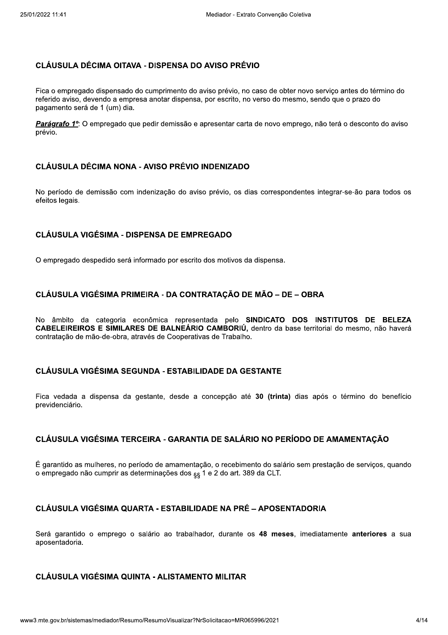#### **CLÁUSULA DÉCIMA OITAVA - DISPENSA DO AVISO PRÉVIO**

Fica o empregado dispensado do cumprimento do aviso prévio, no caso de obter novo servico antes do término do referido aviso, devendo a empresa anotar dispensa, por escrito, no verso do mesmo, sendo que o prazo do pagamento será de 1 (um) dia.

Parágrafo 1º: O empregado que pedir demissão e apresentar carta de novo emprego, não terá o desconto do aviso prévio.

#### **CLÁUSULA DÉCIMA NONA - AVISO PRÉVIO INDENIZADO**

No período de demissão com indenização do aviso prévio, os dias correspondentes integrar-se-ão para todos os efeitos legais.

#### **CLÁUSULA VIGÉSIMA - DISPENSA DE EMPREGADO**

O empregado despedido será informado por escrito dos motivos da dispensa.

### CLÁUSULA VIGÉSIMA PRIMEIRA - DA CONTRATAÇÃO DE MÃO - DE - OBRA

No âmbito da categoria econômica representada pelo SINDICATO DOS INSTITUTOS DE BELEZA CABELEIREIROS E SIMILARES DE BALNEÁRIO CAMBORIÚ, dentro da base territorial do mesmo, não haverá contratação de mão-de-obra, através de Cooperativas de Trabalho.

#### **CLÁUSULA VIGÉSIMA SEGUNDA - ESTABILIDADE DA GESTANTE**

Fica vedada a dispensa da gestante, desde a concepção até 30 (trinta) dias após o término do benefício previdenciário.

### CLÁUSULA VIGÉSIMA TERCEIRA - GARANTIA DE SALÁRIO NO PERÍODO DE AMAMENTAÇÃO

É garantido as mulheres, no período de amamentação, o recebimento do salário sem prestação de serviços, quando o empregado não cumprir as determinações dos ss 1 e 2 do art. 389 da CLT.

### **CLÁUSULA VIGÉSIMA QUARTA - ESTABILIDADE NA PRÉ - APOSENTADORIA**

Será garantido o emprego o salário ao trabalhador, durante os 48 meses, imediatamente anteriores a sua aposentadoria.

### **CLÁUSULA VIGÉSIMA QUINTA - ALISTAMENTO MILITAR**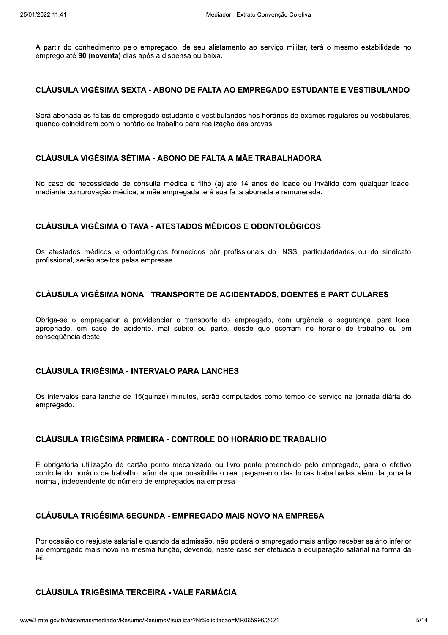A partir do conhecimento pelo empregado, de seu alistamento ao servico militar, terá o mesmo estabilidade no 25/01/2022 11:41<br>
A partir do conhecimento pelo empregado<br>
emprego até **90 (noventa)** dias após a dispo<br> **CLÁUSULA VIGÉSIMA SEXTA - ABON**<br>
Será abonada as faltas do empregado estu emprego até 90 (noventa) dias após a dispensa ou baixa.

#### CLÁUSULA VIGÉSIMA SEXTA - ABONO DE FALTA AO EMPREGADO ESTUDANTE E VESTIBULANDO

Será abonada as faltas do empregado estudante e vestibulandos nos horários de exames regulares ou vestibulares. quando coincidirem com o horário de trabalho para realização das provas. emprego até 90 (noventa) dias ape<br>
CLÁUSULA VIGÉSIMA SEXTA<br>
Será abonada as faltas do empreg<br>
quando coincidirem com o horário<br>
CLÁUSULA VIGÉSIMA SÉTIMA<br>
No caso de necessidade de cons<br>
mediante comprovação médica, a l emprego até 90 (noventa) dias após a disp<br>
CLÁUSULA VIGÉSIMA SEXTA - ABOI<br>
Será abonada as faltas do empregado estu<br>
quando coincidirem com o horário de traba<br>
CLÁUSULA VIGÉSIMA SÉTIMA - ABC<br>
No caso de necessidade de cons

#### CLÁUSULA VIGÉSIMA SÉTIMA - ABONO DE FALTA A MÃE TRABALHADORA

Será abonada as faltas do<br>quando coincidirem com o<br>**CLÁUSULA VIGÉSIMA**<br>No caso de necessidade<br>mediante comprovação me<br>**CLÁUSULA VIGÉSIMA**<br>Os atestados médicos e Será abonada as faltas do empregado<br>quando coincidirem com o horário de t<br>**CLÁUSULA VIGÉSIMA SÉTIMA - /**<br>No caso de necessidade de consulta<br>mediante comprovação médica, a mãe<br>**CLÁUSULA VIGÉSIMA OITAVA - /**<br>Os atestados méd ade de consulta médica e filho (a) até 14 anos de idade ou inválido com qualquer idade. onada as faltas do empregado estudante e vicoincidirem com o horário de trabalho para re<br> **SULA VIGÉSIMA SÉTIMA - ABONO DE F<br>
SULA VIGÉSIMA SÉTIMA - ABONO DE F<br>
SULA VIGÉSIMA OITAVA - ATESTADOS I<br>
SULA VIGÉSIMA OITAVA - AT** s do empregado estudante e vestibulandos nos horár<br>im o horário de trabalho para realização das provas.<br>**MA SÉTIMA - ABONO DE FALTA A MÃE TRAB.**<br>ade de consulta médica e filho (a) até 14 anos de<br>o médica, a mãe empregada t rários de exames regulares ou vestibulares,<br>s.<br>**BALHADORA**<br>de idade ou inválido com qualquer idade,<br>a e remunerada.<br>**NTOLÓGICOS** mediante comprovação médica, a mãe empregada terá sua falta abonada e remunerada.

#### CLÁUSULA VIGÉSIMA OITAVA - ATESTADOS MÉDICOS E ODONTOLÓGICOS

quando coincidirem com o horári<br>
CLÁUSULA VIGÉSIMA SÉTII<br>
No caso de necessidade de co<br>
mediante comprovação médica,<br>
CLÁUSULA VIGÉSIMA OITA<br>
Os atestados médicos e odon<br>
profissional, serão aceitos pelas o coincidirem com o horário de trabalho para<br>
ISULA VIGÉSIMA SÉTIMA - ABONO DE<br>
so de necessidade de consulta médica e fi<br>
nte comprovação médica, a mãe empregada<br>
ISULA VIGÉSIMA OITAVA - ATESTADOS<br>
estados médicos e odont Os atestados médicos e odontológicos fornecidos pôr profissionais do INSS, particularidades ou do sindio No caso de necessidade de consulta mé<br>
mediante comprovação médica, a mãe em<br> **CLÁUSULA VIGÉSIMA OITAVA - ATE:**<br>
Os atestados médicos e odontológicos<br>
profissional, serão aceitos pelas empresas<br> **CLÁUSULA VIGÉSIMA NONA - T** ecessidade de consulta médica e filho (a) até 14 ano<br>
rovação médica, a mãe empregada terá sua falta abon<br> **'IGÉSIMA OITAVA - ATESTADOS MÉDICOS E OD<br>
médicos e odontológicos fornecidos pôr profissionai<br>
rão aceitos pelas e** 4 anos de idade ou inválido com qualquer<br>abonada e remunerada.<br>E ODONTOLÓGICOS<br>iionais do INSS, particularidades ou do sir<br>NTADOS, DOENTES E PARTICULARES<br>pregado, com urgência e segurança, para

#### CLÁUSULA VIGÉSIMA NONA - TRANSPORTE DE ACIDENTADOS, DOENTES E PARTICULARES

No caso de necessidade de consulta medica e filho (a) até 14 anos de idade ou invalido com qualquer idade,<br>
mediante comprovação médica, a mãe empregada terá sua falta abonada e remunerada.<br> **CLÁUSULA VIGÉSIMA OITAVA - ATE** Obriga-se o empregador a providenciar o transporte do empregado nédicos e odontológicos fornecidos por pro<br>ão aceitos pelas empresas.<br>GÉSIMA NONA - TRANSPORTE DE ACI<br>npregador a providenciar o transporte do<br>caso de acidente, mal súbito ou parto,<br>sste.<br>RIGÉSIMA - INTERVALO PARA LANCHE Us atestados medicos e odontológicos tornecidos por profissionais do INSS, particularidades ou do sindicato profissional, serão aceitos pelas empresas.<br>
CLÁUSULA VIGÉSIMA NONA - TRANSPORTE DE ACIDENTADOS, DOENTES E PARTICU profissional, serão aceitos pelas empres<br> **CLÁUSULA VIGÉSIMA NONA - TRA**<br>
Obriga-se o empregador a providenc<br>
apropriado, em caso de acidente, m<br>
conseqüência deste.<br> **CLÁUSULA TRIGÉSIMA - INTERVA**<br>
Os intervalos para lanc sional, serão aceitos pelas empresas.<br> **ISULA VIGÉSIMA NONA - TRANSPORT**<br> **ISULA VIGÉSIMA NONA - TRANSPORT**<br>
<sup>1-Se</sup> o empregador a providenciar o trans<br>
riado, em caso de acidente, mal súbito quência deste.<br> **ISULA TRIGÉSI** ente, mal súbito ou parto, desde **DE ACIDENTADOS, DOENTES E PARTION**<br>
orte do empregado, com urgência e segu<br>
parto, desde que ocorram no horário de<br> **ANCHES**<br>
erão computados como tempo de serviço na CLÁUSULA VIGÉSIMA NONA - TRANSPORTE DE ACIDENTADOS, DOENTES E PARTICULARES<br>
Obriga-se o empregador a providenciar o transporte do empregado, com urgência e segurança, para local<br>
apropriado, em caso de acidente, mal súbito consegüência deste.

#### CLÁUSULA TRIGÉSIMA - INTERVALO PARA LANCHES

apropriado, em caso de acidente, mal sú<br>conseqüência deste.<br>**CLÁUSULA TRIGÉSIMA - INTERVALO F**<br>Os intervalos para lanche de 15(quinze) mir<br>empregado.<br>**CLÁUSULA TRIGÉSIMA PRIMEIRA - CC**<br>É obrigatória utilização de cartão po icidente, mal súbito ou parto, desde que ocorra<br>
- INTERVALO PARA LANCHES<br>
e 15(quinze) minutos, serão computados como ten<br>
PRIMEIRA - CONTROLE DO HORÁRIO DE TR.<br>
cartão ponto mecanizado ou livro ponto preenchio o ou parto, desde que ocorram no horári $\blacksquare$ <br> **A LANCHES**<br>
s, serão computados como tempo de serviç<br>
TROLE DO HORÁRIO DE TRABALHO<br>
nizado ou livro ponto preenchido pelo emp e servico na iornada diária do empregado.

#### CLÁUSULA TRIGÉSIMA PRIMEIRA - CONTROLE DO HORÁRIO DE TRABALHO

É obrigatória utilização de cartão ponto mecanizado ou livro ponto preenchido pelo empregado rervalos para lanche de 15(quinze) minutos, serão computades<br>
gado.<br> **ISULA TRIGÉSIMA PRIMEIRA - CONTROLE DO HORÁ**<br>
igatória utilização de cartão ponto mecanizado ou livro pon<br>
ile do horário de trabalho, afim de que possi rão computados como tempo de serviço na j<br>
LE DO HORÁRIO DE TRABALHO<br>
o ou livro ponto preenchido pelo empregado<br>
lite o real pagamento das horas trabalhadas<br>
empresa.<br>
ADO MAIS NOVO NA EMPRESA empregado.<br>
CLÁUSULA TRIGÉSIMA PRIMEIRA - CONTROLE DO HORÁRIO DE TRABALHO<br>
É obrigatória utilização de cartão ponto mecanizado ou livro ponto preenchido pelo empregado, para o efetivo<br>
controle do horário de trabalho, afim o horário de trabalho, afim de que possibilite o real pagamento das horas trabalhadas além da iornada normal, independente do número de empregados na empresa.

### CLÁUSULA TRIGÉSIMA SEGUNDA - EMPREGADO MAIS NOVO NA EMPRESA

controle do horário de traba<br>
normal, independente do nú<br>
CLÁUSULA TRIGÉSIMA<br>
Por ocasião do reajuste sala<br>
ao empregado mais novo n<br>
lei.<br>
CLÁUSULA TRIGÉSIMA o reaiuste salarial e guando da admissão, não poderá o empregado controle do horário de trabalho, afim de que possibilite o real pagamento das horas trabalhadas além da jornada<br>normal, independente do número de empregados na empresa.<br>CLÁUSULA TRIGÉSIMA SEGUNDA - EMPREGADO MAIS NOVO NA E o mais novo na mesma funcão, devendo, neste caso ser efetuada a equiparação salarial na forma da pregados na empresa.<br> **. - EMPREGADO MAIS NOVO NA EMPR**<br>
lo da admissão, não poderá o empregado ma<br>nção, devendo, neste caso ser efetuada a eq<br>
1 - **VALE FARMÁCIA**<br>
DVisualizar?NrSolicitacao=MR065996/2021 lei

### CLÁUSULA TRIGÉSIMA TERCEIRA - VALE FARMÁCIA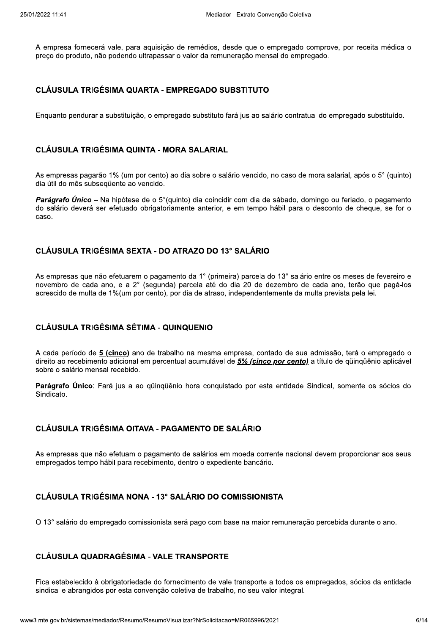A empresa fornecerá vale, para aquisição de remédios, desde que o empregado comprove, por receita médica o preco do produto, não podendo ultrapassar o valor da remuneração mensal do empregado.

## CLÁUSULA TRIGÉSIMA QUARTA - EMPREGADO SUBSTITUTO

Enquanto pendurar a substituição, o empregado substituto fará jus ao salário contratual do empregado substituído.

#### **CLÁUSULA TRIGÉSIMA QUINTA - MORA SALARIAL**

As empresas pagarão 1% (um por cento) ao dia sobre o salário vencido, no caso de mora salarial, após o 5° (quinto) dia útil do mês subsequente ao vencido.

Parágrafo Único – Na hipótese de o 5° (quinto) dia coincidir com dia de sábado, domingo ou feriado, o pagamento do salário deverá ser efetuado obrigatoriamente anterior, e em tempo hábil para o desconto de cheque, se for o caso.

#### CLÁUSULA TRIGÉSIMA SEXTA - DO ATRAZO DO 13º SALÁRIO

As empresas que não efetuarem o pagamento da 1° (primeira) parcela do 13° salário entre os meses de fevereiro e novembro de cada ano, e a 2° (segunda) parcela até do dia 20 de dezembro de cada ano, terão que pagá-los acrescido de multa de 1%(um por cento), por dia de atraso, independentemente da multa prevista pela lei.

### **CLÁUSULA TRIGÉSIMA SÉTIMA - QUINQUENIO**

A cada período de 5 (cinco) ano de trabalho na mesma empresa, contado de sua admissão, terá o empregado o direito ao recebimento adicional em percentual acumulável de 5% (cinco por cento) a título de quinquênio aplicável sobre o salário mensal recebido.

Parágrafo Único: Fará jus a ao güingüênio hora conguistado por esta entidade Sindical, somente os sócios do Sindicato.

### CLÁUSULA TRIGÉSIMA OITAVA - PAGAMENTO DE SALÁRIO

As empresas que não efetuam o pagamento de salários em moeda corrente nacional devem proporcionar aos seus empregados tempo hábil para recebimento, dentro o expediente bancário.

## CLÁUSULA TRIGÉSIMA NONA - 13° SALÁRIO DO COMISSIONISTA

O 13° salário do empregado comissionista será pago com base na maior remuneração percebida durante o ano.

#### **CLÁUSULA QUADRAGÉSIMA - VALE TRANSPORTE**

Fica estabelecido à obrigatoriedade do fornecimento de vale transporte a todos os empregados, sócios da entidade sindical e abrangidos por esta convenção coletiva de trabalho, no seu valor integral.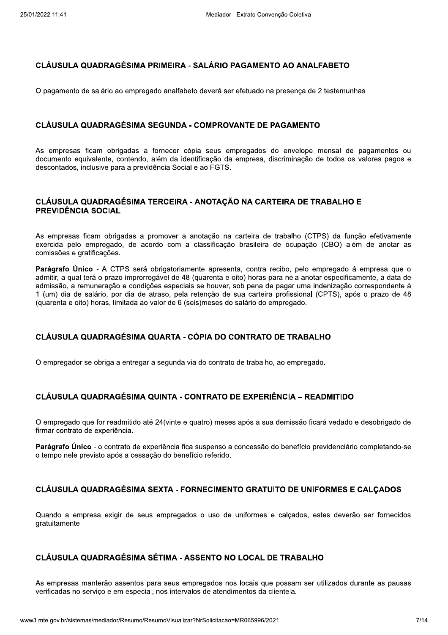### CLÁUSULA QUADRAGÉSIMA PRIMEIRA - SALÁRIO PAGAMENTO AO ANALFABETO

O pagamento de salário ao empregado analfabeto deverá ser efetuado na presenca de 2 testemunhas.

#### **CLÁUSULA QUADRAGÉSIMA SEGUNDA - COMPROVANTE DE PAGAMENTO**

As empresas ficam obrigadas a fornecer cópia seus empregados do envelope mensal de pagamentos ou documento equivalente, contendo, além da identificação da empresa, discriminação de todos os valores pagos e descontados, inclusive para a previdência Social e ao FGTS.

### CLÁUSULA QUADRAGÉSIMA TERCEIRA - ANOTAÇÃO NA CARTEIRA DE TRABALHO E **PREVIDÊNCIA SOCIAL**

As empresas ficam obrigadas a promover a anotação na carteira de trabalho (CTPS) da função efetivamente exercida pelo empregado, de acordo com a classificação brasileira de ocupação (CBO) além de anotar as comissões e gratificações.

Parágrafo Único - A CTPS será obrigatoriamente apresenta, contra recibo, pelo empregado á empresa que o admitir, a qual terá o prazo improrrogável de 48 (quarenta e oito) horas para nela anotar especificamente, a data de admissão, a remuneração e condições especiais se houver, sob pena de pagar uma indenização correspondente à 1 (um) dia de salário, por dia de atraso, pela retenção de sua carteira profissional (CPTS), após o prazo de 48 (quarenta e oito) horas. limitada ao valor de 6 (seis)meses do salário do empregado.

### CLÁUSULA QUADRAGÉSIMA QUARTA - CÓPIA DO CONTRATO DE TRABALHO

O empregador se obriga a entregar a segunda via do contrato de trabalho, ao empregado.

#### CLÁUSULA QUADRAGÉSIMA QUINTA - CONTRATO DE EXPERIÊNCIA - READMITIDO

O empregado que for readmitido até 24(vinte e quatro) meses após a sua demissão ficará vedado e desobrigado de firmar contrato de experiência.

Parágrafo Único - o contrato de experiência fica suspenso a concessão do benefício previdenciário completando-se o tempo nele previsto após a cessação do benefício referido.

#### CLÁUSULA QUADRAGÉSIMA SEXTA - FORNECIMENTO GRATUITO DE UNIFORMES E CALÇADOS

Quando a empresa exigir de seus empregados o uso de uniformes e calçados, estes deverão ser fornecidos gratuitamente.

## CLÁUSULA QUADRAGÉSIMA SÉTIMA - ASSENTO NO LOCAL DE TRABALHO

As empresas manterão assentos para seus empregados nos locais que possam ser utilizados durante as pausas verificadas no servico e em especial, nos intervalos de atendimentos da clientela.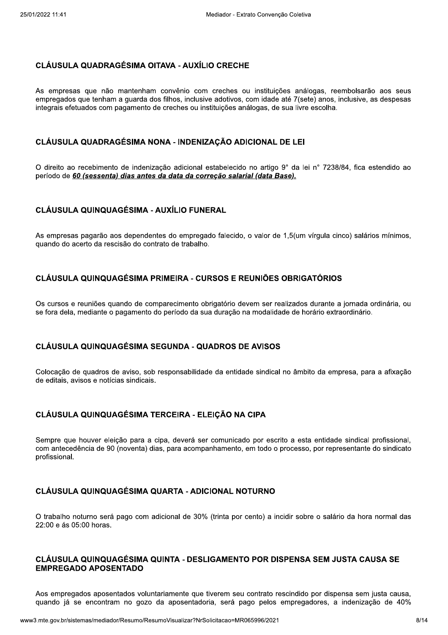#### **CLÁUSULA QUADRAGÉSIMA OITAVA - AUXÍLIO CRECHE**

As empresas que não mantenham convênio com creches ou instituições análogas, reembolsarão aos seus empregados que tenham a guarda dos filhos, inclusive adotivos, com idade até 7(sete) anos, inclusive, as despesas integrais efetuados com pagamento de creches ou instituições análogas, de sua livre escolha.

#### CLÁUSULA QUADRAGÉSIMA NONA - INDENIZAÇÃO ADICIONAL DE LEI

O direito ao recebimento de indenização adicional estabelecido no artigo 9° da lei n° 7238/84, fica estendido ao período de 60 (sessenta) dias antes da data da correção salarial (data Base).

#### **CLÁUSULA QUINQUAGÉSIMA - AUXÍLIO FUNERAL**

As empresas pagarão aos dependentes do empregado falecido, o valor de 1,5(um vírgula cinco) salários mínimos, quando do acerto da rescisão do contrato de trabalho.

#### CLÁUSULA QUINQUAGÉSIMA PRIMEIRA - CURSOS E REUNIÕES OBRIGATÓRIOS

Os cursos e reuniões quando de comparecimento obrigatório devem ser realizados durante a jornada ordinária, ou se fora dela, mediante o pagamento do período da sua duração na modalidade de horário extraordinário.

### CLÁUSULA QUINQUAGÉSIMA SEGUNDA - QUADROS DE AVISOS

Colocação de quadros de aviso, sob responsabilidade da entidade sindical no âmbito da empresa, para a afixação de editais, avisos e notícias sindicais.

#### CLÁUSULA QUINQUAGÉSIMA TERCEIRA - ELEICÃO NA CIPA

Sempre que houver eleição para a cipa, deverá ser comunicado por escrito a esta entidade sindical profissional, com antecedência de 90 (noventa) dias, para acompanhamento, em todo o processo, por representante do sindicato profissional.

#### **CLÁUSULA QUINQUAGÉSIMA QUARTA - ADICIONAL NOTURNO**

O trabalho noturno será pago com adicional de 30% (trinta por cento) a incidir sobre o salário da hora normal das 22:00 e ás 05:00 horas.

#### CLÁUSULA QUINQUAGÉSIMA QUINTA - DESLIGAMENTO POR DISPENSA SEM JUSTA CAUSA SE **EMPREGADO APOSENTADO**

Aos empregados aposentados voluntariamente que tiverem seu contrato rescindido por dispensa sem justa causa, quando já se encontram no gozo da aposentadoria, será pago pelos empregadores, a indenização de 40%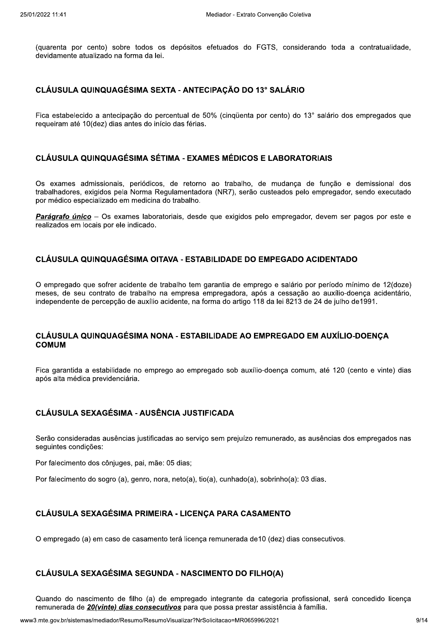(quarenta por cento) sobre todos os depósitos efetuados do FGTS, considerando toda a contratualidade, devidamente atualizado na forma da lei.

#### CLÁUSULA QUINQUAGÉSIMA SEXTA - ANTECIPAÇÃO DO 13° SALÁRIO

Fica estabelecido a antecipação do percentual de 50% (cinqüenta por cento) do 13° salário dos empregados que requeiram até 10(dez) dias antes do início das férias.

### CLÁUSULA QUINQUAGÉSIMA SÉTIMA - EXAMES MÉDICOS E LABORATORIAIS

Os exames admissionais, periódicos, de retorno ao trabalho, de mudança de função e demissional dos trabalhadores, exigidos pela Norma Regulamentadora (NR7), serão custeados pelo empregador, sendo executado por médico especializado em medicina do trabalho.

Parágrafo único – Os exames laboratoriais, desde que exigidos pelo empregador, devem ser pagos por este e realizados em locais por ele indicado.

### CLÁUSULA QUINQUAGÉSIMA OITAVA - ESTABILIDADE DO EMPEGADO ACIDENTADO

O empregado que sofrer acidente de trabalho tem garantia de emprego e salário por período mínimo de 12(doze) meses, de seu contrato de trabalho na empresa empregadora, após a cessação ao auxílio-doença acidentário, independente de percepção de auxílio acidente, na forma do artigo 118 da lei 8213 de 24 de julho de1991.

### CLÁUSULA QUINQUAGÉSIMA NONA - ESTABILIDADE AO EMPREGADO EM AUXÍLIO-DOENCA **COMUM**

Fica garantida a estabilidade no emprego ao empregado sob auxílio-doenca comum, até 120 (cento e vinte) dias após alta médica previdenciária.

### **CLÁUSULA SEXAGÉSIMA - AUSÊNCIA JUSTIFICADA**

Serão consideradas ausências justificadas ao servico sem prejuízo remunerado, as ausências dos empregados nas sequintes condicões:

Por falecimento dos cônjuges, pai, mãe: 05 dias;

Por falecimento do sogro (a), genro, nora, neto(a), tio(a), cunhado(a), sobrinho(a): 03 dias.

#### CLÁUSULA SEXAGÉSIMA PRIMEIRA - LICENCA PARA CASAMENTO

O empregado (a) em caso de casamento terá licença remunerada de10 (dez) dias consecutivos.

#### CLÁUSULA SEXAGÉSIMA SEGUNDA - NASCIMENTO DO FILHO(A)

Quando do nascimento de filho (a) de empregado integrante da categoria profissional, será concedido licença remunerada de 20(vinte) dias consecutivos para que possa prestar assistência à família.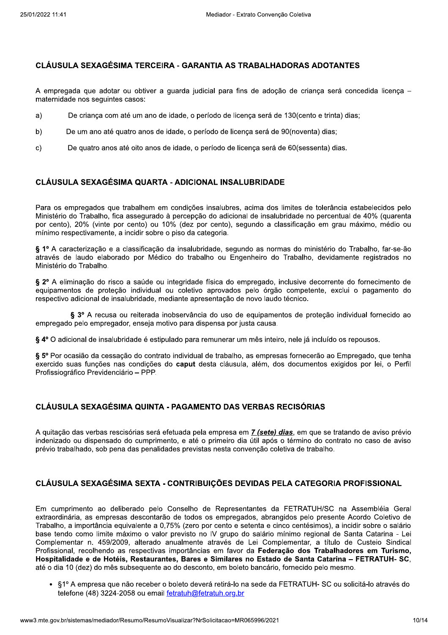#### **CLÁUSULA SEXAGÉSIMA TERCEIRA - GARANTIA AS TRABALHADORAS ADOTANTES**

A empregada que adotar ou obtiver a quarda judicial para fins de adoção de criança será concedida licença – maternidade nos seguintes casos:

- $a)$ De crianca com até um ano de idade, o período de licenca será de 130 (cento e trinta) dias:
- De um ano até quatro anos de idade, o período de licenca será de 90(noventa) dias: b)
- De quatro anos até oito anos de idade, o período de licença será de 60(sessenta) dias.  $\mathbf{C}$

#### CLÁUSULA SEXAGÉSIMA QUARTA - ADICIONAL INSALUBRIDADE

Para os empregados que trabalhem em condições insalubres, acima dos limites de tolerância estabelecidos pelo Ministério do Trabalho, fica assegurado à percepção do adicional de insalubridade no percentual de 40% (quarenta por cento), 20% (vinte por cento) ou 10% (dez por cento), segundo a classificação em grau máximo, médio ou mínimo respectivamente, a incidir sobre o piso da categoria.

§ 1º A caracterização e a classificação da insalubridade, segundo as normas do ministério do Trabalho, far-se-ão através de laudo elaborado por Médico do trabalho ou Engenheiro do Trabalho, devidamente registrados no Ministério do Trabalho.

§ 2º A eliminação do risco a saúde ou integridade física do empregado, inclusive decorrente do fornecimento de equipamentos de proteção individual ou coletivo aprovados pelo órgão competente, exclui o pagamento do respectivo adicional de insalubridade, mediante apresentação de novo laudo técnico.

§ 3º A recusa ou reiterada inobservância do uso de equipamentos de proteção individual fornecido ao empregado pelo empregador, enseja motivo para dispensa por justa causa.

§ 4° O adicional de insalubridade é estipulado para remunerar um mês inteiro, nele já incluído os repousos.

§ 5º Por ocasião da cessação do contrato individual de trabalho, as empresas fornecerão ao Empregado, que tenha exercido suas funções nas condições do caput desta cláusula, além, dos documentos exigidos por lei, o Perfil Profissiográfico Previdenciário - PPP.

#### CLÁUSULA SEXAGÉSIMA QUINTA - PAGAMENTO DAS VERBAS RECISÓRIAS

A quitação das verbas rescisórias será efetuada pela empresa em **7 (sete) dias**, em que se tratando de aviso prévio indenizado ou dispensado do cumprimento, e até o primeiro dia útil após o término do contrato no caso de aviso prévio trabalhado, sob pena das penalidades previstas nesta convenção coletiva de trabalho.

### CLÁUSULA SEXAGÉSIMA SEXTA - CONTRIBUICÕES DEVIDAS PELA CATEGORIA PROFISSIONAL

Em cumprimento ao deliberado pelo Conselho de Representantes da FETRATUH/SC na Assembléia Geral extraordinária, as empresas descontarão de todos os empregados, abrangidos pelo presente Acordo Coletivo de Trabalho, a importância equivalente a 0.75% (zero por cento e setenta e cinco centésimos), a incidir sobre o salário base tendo como limite máximo o valor previsto no IV grupo do salário mínimo regional de Santa Catarina - Lei Complementar n. 459/2009, alterado anualmente através de Lei Complementar, a título de Custeio Sindical Profissional, recolhendo as respectivas importâncias em favor da Federação dos Trabalhadores em Turismo, Hospitalidade e de Hotéis, Restaurantes, Bares e Similares no Estado de Santa Catarina - FETRATUH- SC. até o dia 10 (dez) do mês subseguente ao do desconto, em boleto bancário, fornecido pelo mesmo.

• §1º A empresa que não receber o boleto deverá retirá-lo na sede da FETRATUH- SC ou solicitá-lo através do telefone (48) 3224-2058 ou email fetratuh@fetratuh.org.br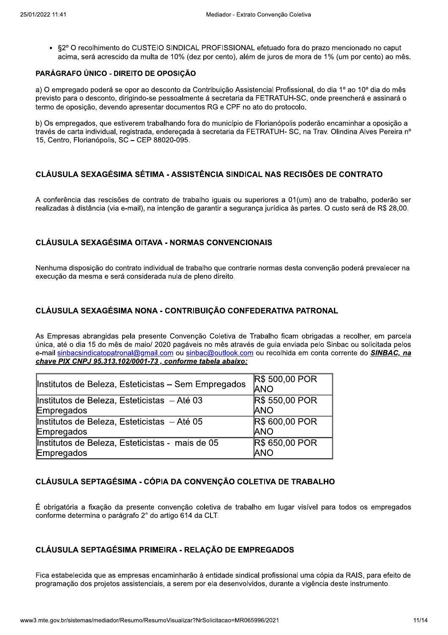• §2º O recolhimento do CUSTEIO SINDICAL PROFISSIONAL efetuado fora do prazo mencionado no caput acima, será acrescido da multa de 10% (dez por cento), além de juros de mora de 1% (um por cento) ao mês.

### PARÁGRAFO ÚNICO - DIREITO DE OPOSICÃO

a) O empregado poderá se opor ao desconto da Contribuição Assistencial Profissional, do dia 1º ao 10º dia do mês previsto para o desconto, dirigindo-se pessoalmente á secretaria da FETRATUH-SC, onde preencherá e assinará o termo de oposição, devendo apresentar documentos RG e CPF no ato do protocolo.

b) Os empregados, que estiverem trabalhando fora do município de Florianópolis poderão encaminhar a oposição a través de carta individual, registrada, enderecada à secretaria da FETRATUH-SC, na Trav. Olindina Alves Pereira nº 15. Centro. Florianópolis. SC - CEP 88020-095.

## CLÁUSULA SEXAGÉSIMA SÉTIMA - ASSISTÊNCIA SINDICAL NAS RECISÕES DE CONTRATO

A conferência das rescisões de contrato de trabalho iguais ou superiores a 01(um) ano de trabalho, poderão ser realizadas à distância (via e-mail), na intenção de garantir a segurança jurídica às partes. O custo será de R\$ 28,00.

#### **CLÁUSULA SEXAGÉSIMA OITAVA - NORMAS CONVENCIONAIS**

Nenhuma disposição do contrato individual de trabalho que contrarie normas desta convenção poderá prevalecer na execução da mesma e será considerada nula de pleno direito.

#### CLÁUSULA SEXAGÉSIMA NONA - CONTRIBUIÇÃO CONFEDERATIVA PATRONAL

As Empresas abrangidas pela presente Convenção Coletiva de Trabalho ficam obrigadas a recolher, em parcela única, até o dia 15 do mês de maio/ 2020 pagáveis no mês através de guia enviada pelo Sinbac ou solicitada pelos e-mail sinbacsindicatopatronal@gmail.com ou sinbac@outlook.com ou recolhida em conta corrente do SINBAC. na chave PIX CNPJ 95.313.102/0001-73, conforme tabela abaixo:

| Institutos de Beleza, Esteticistas – Sem Empregados | <b>R\$ 500,00 POR</b><br><b>ANO</b> |
|-----------------------------------------------------|-------------------------------------|
| Institutos de Beleza, Esteticistas - Até 03         | <b>R\$ 550,00 POR</b>               |
| Empregados                                          | <b>ANO</b>                          |
| Institutos de Beleza, Esteticistas - Até 05         | <b>R\$ 600,00 POR</b>               |
| Empregados                                          | <b>ANO</b>                          |
| Institutos de Beleza, Esteticistas - mais de 05     | <b>R\$ 650,00 POR</b>               |
| Empregados                                          | ANO                                 |

#### CLÁUSULA SEPTAGÉSIMA - CÓPIA DA CONVENÇÃO COLETIVA DE TRABALHO

É obrigatória a fixação da presente convenção coletiva de trabalho em lugar visível para todos os empregados conforme determina o parágrafo 2° do artigo 614 da CLT.

#### CLÁUSULA SEPTAGÉSIMA PRIMEIRA - RELACÃO DE EMPREGADOS

Fica estabelecida que as empresas encaminharão à entidade sindical profissional uma cópia da RAIS, para efeito de programação dos projetos assistenciais, a serem por ela desenvolvidos, durante a vigência deste instrumento,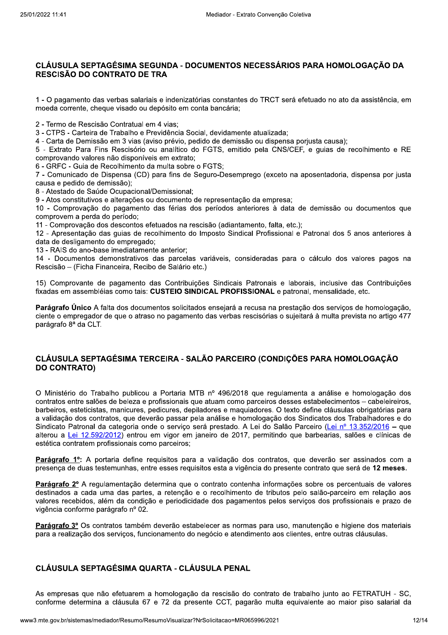#### CLÁUSULA SEPTAGÉSIMA SEGUNDA - DOCUMENTOS NECESSÁRIOS PARA HOMOLOGACÃO DA **RESCISÃO DO CONTRATO DE TRA**

1 - O pagamento das verbas salariais e indenizatórias constantes do TRCT será efetuado no ato da assistência, em moeda corrente, cheque visado ou depósito em conta bancária;

2 - Termo de Rescisão Contratual em 4 vias;

3 - CTPS - Carteira de Trabalho e Previdência Social, devidamente atualizada;

4 - Carta de Demissão em 3 vias (aviso prévio, pedido de demissão ou dispensa porjusta causa);

5 - Extrato Para Fins Rescisório ou analítico do FGTS, emitido pela CNS/CEF, e quias de recolhimento e RE comprovando valores não disponíveis em extrato;

6 - GRFC - Guia de Recolhimento da multa sobre o FGTS;

7 - Comunicado de Dispensa (CD) para fins de Seguro-Desemprego (exceto na aposentadoria, dispensa por justa causa e pedido de demissão);

8 - Atestado de Saúde Ocupacional/Demissional;

9 - Atos constitutivos e alterações ou documento de representação da empresa;

10 - Comprovação do pagamento das férias dos períodos anteriores à data de demissão ou documentos que comprovem a perda do período;

11 - Comprovação dos descontos efetuados na rescisão (adiantamento, falta, etc.);

12 - Apresentação das quias de recolhimento do Imposto Sindical Profissional e Patronal dos 5 anos anteriores à data de desligamento do empregado;

13 - RAIS do ano-base imediatamente anterior:

14 - Documentos demonstrativos das parcelas variáveis, consideradas para o cálculo dos valores pagos na Rescisão – (Ficha Financeira, Recibo de Salário etc.)

15) Comprovante de pagamento das Contribuições Sindicais Patronais e laborais, inclusive das Contribuições fixadas em assembléias como tais: CUSTEIO SINDICAL PROFISSIONAL e patronal, mensalidade, etc.

Parágrafo Único A falta dos documentos solicitados ensejará a recusa na prestação dos serviços de homologação, ciente o empregador de que o atraso no pagamento das verbas rescisórias o sujeitará à multa prevista no artigo 477 parágrafo 8ª da CLT.

#### CLÁUSULA SEPTAGÉSIMA TERCEIRA - SALÃO PARCEIRO (CONDIÇÕES PARA HOMOLOGAÇÃO **DO CONTRATO)**

O Ministério do Trabalho publicou a Portaria MTB nº 496/2018 que regulamenta a análise e homologação dos contratos entre salões de beleza e profissionais que atuam como parceiros desses estabelecimentos – cabeleireiros. barbeiros, esteticistas, manicures, pedicures, depiladores e maquiadores. O texto define cláusulas obrigatórias para a validação dos contratos, que deverão passar pela análise e homologação dos Sindicatos dos Trabalhadores e do Sindicato Patronal da categoria onde o servico será prestado. A Lei do Salão Parceiro (Lei nº 13.352/2016 - que alterou a Lei 12.592/2012) entrou em vigor em janeiro de 2017, permitindo que barbearias, salões e clínicas de estética contratem profissionais como parceiros;

Parágrafo 1<sup>o</sup>: A portaria define requisitos para a validação dos contratos, que deverão ser assinados com a presença de duas testemunhas, entre esses requisitos esta a vigência do presente contrato que será de 12 meses.

Parágrafo 2º A regulamentação determina que o contrato contenha informações sobre os percentuais de valores destinados a cada uma das partes, a retenção e o recolhimento de tributos pelo salão-parceiro em relação aos valores recebidos, além da condição e periodicidade dos pagamentos pelos servicos dos profissionais e prazo de vigência conforme parágrafo nº 02.

Parágrafo 3º Os contratos também deverão estabelecer as normas para uso, manutenção e higiene dos materiais para a realização dos servicos, funcionamento do negócio e atendimento aos clientes, entre outras cláusulas,

### CLÁUSULA SEPTAGÉSIMA QUARTA - CLÁUSULA PENAL

As empresas que não efetuarem a homologação da rescisão do contrato de trabalho junto ao FETRATUH - SC, conforme determina a cláusula 67 e 72 da presente CCT, pagarão multa equivalente ao maior piso salarial da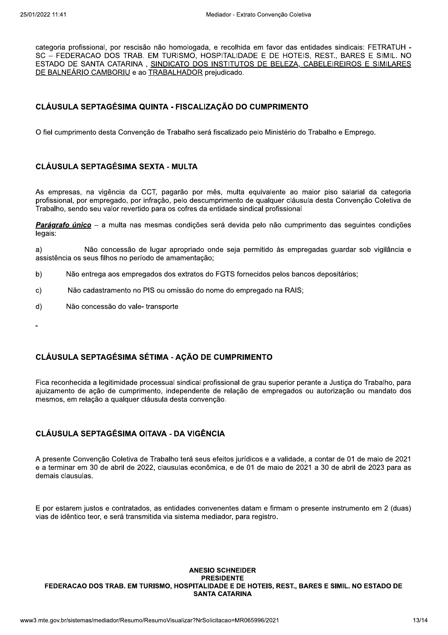categoria profissional, por rescisão não homologada, e recolhida em favor das entidades sindicais: FETRATUH -SC - FEDERACAO DOS TRAB. EM TURISMO, HOSPITALIDADE E DE HOTEIS, REST., BARES E SIMIL. NO ESTADO DE SANTA CATARINA, SINDICATO DOS INSTITUTOS DE BELEZA, CABELEIREIROS E SIMILARES DE BALNEÁRIO CAMBORIU e ao TRABALHADOR prejudicado.

### CLÁUSULA SEPTAGÉSIMA QUINTA - FISCALIZAÇÃO DO CUMPRIMENTO

O fiel cumprimento desta Convenção de Trabalho será fiscalizado pelo Ministério do Trabalho e Emprego.

#### **CLÁUSULA SEPTAGÉSIMA SEXTA - MULTA**

As empresas, na vigência da CCT, pagarão por mês, multa equivalente ao maior piso salarial da categoria profissional, por empregado, por infração, pelo descumprimento de qualquer cláusula desta Convenção Coletiva de Trabalho, sendo seu valor revertido para os cofres da entidade sindical profissional

Parágrafo único - a multa nas mesmas condições será devida pelo não cumprimento das seguintes condições legais:

 $a)$ Não concessão de lugar apropriado onde seja permitido às empregadas guardar sob vigilância e assistência os seus filhos no período de amamentação;

- $b)$ Não entrega aos empregados dos extratos do FGTS fornecidos pelos bancos depositários;
- Não cadastramento no PIS ou omissão do nome do empregado na RAIS;  $\mathbf{C}$
- Não concessão do vale- transporte d)

## CLÁUSULA SEPTAGÉSIMA SÉTIMA - AÇÃO DE CUMPRIMENTO

Fica reconhecida a legitimidade processual sindical profissional de grau superior perante a Justiça do Trabalho, para ajuizamento de ação de cumprimento, independente de relação de empregados ou autorização ou mandato dos mesmos, em relação a qualquer cláusula desta convenção.

## **CLÁUSULA SEPTAGÉSIMA OITAVA - DA VIGÊNCIA**

A presente Convenção Coletiva de Trabalho terá seus efeitos jurídicos e a validade, a contar de 01 de maio de 2021 e a terminar em 30 de abril de 2022, clausulas econômica, e de 01 de maio de 2021 a 30 de abril de 2023 para as demais clausulas.

E por estarem justos e contratados, as entidades convenentes datam e firmam o presente instrumento em 2 (duas) vias de idêntico teor, e será transmitida via sistema mediador, para registro.

**ANESIO SCHNEIDER PRESIDENTE** FEDERACAO DOS TRAB. EM TURISMO, HOSPITALIDADE E DE HOTEIS, REST., BARES E SIMIL. NO ESTADO DE **SANTA CATARINA**